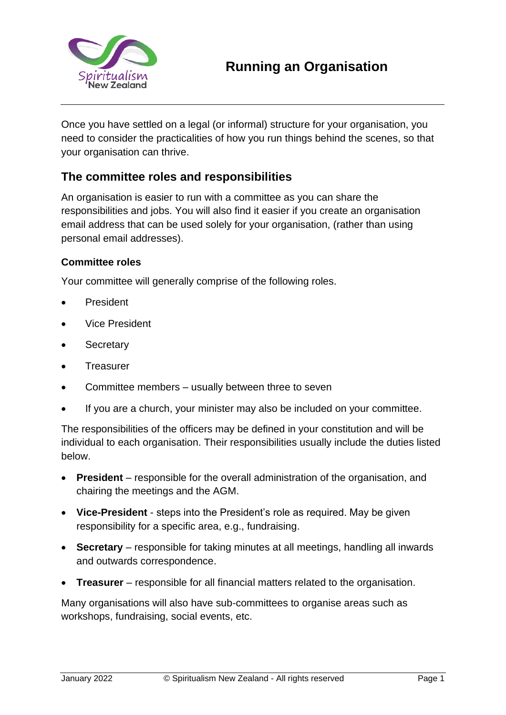

Once you have settled on a legal (or informal) structure for your organisation, you need to consider the practicalities of how you run things behind the scenes, so that your organisation can thrive.

### **The committee roles and responsibilities**

An organisation is easier to run with a committee as you can share the responsibilities and jobs. You will also find it easier if you create an organisation email address that can be used solely for your organisation, (rather than using personal email addresses).

#### **Committee roles**

Your committee will generally comprise of the following roles.

- **President**
- Vice President
- **Secretary**
- **Treasurer**
- Committee members usually between three to seven
- If you are a church, your minister may also be included on your committee.

The responsibilities of the officers may be defined in your constitution and will be individual to each organisation. Their responsibilities usually include the duties listed below.

- **President** responsible for the overall administration of the organisation, and chairing the meetings and the AGM.
- **Vice-President** steps into the President's role as required. May be given responsibility for a specific area, e.g., fundraising.
- **Secretary** responsible for taking minutes at all meetings, handling all inwards and outwards correspondence.
- **Treasurer** responsible for all financial matters related to the organisation.

Many organisations will also have sub-committees to organise areas such as workshops, fundraising, social events, etc.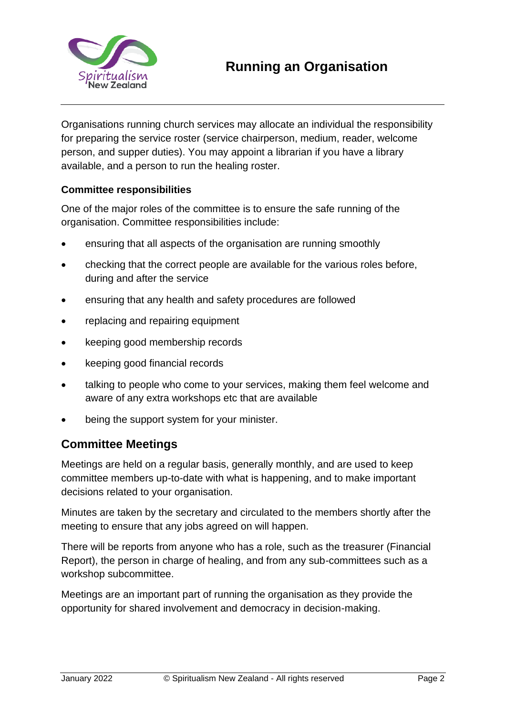

# **Running an Organisation**

Organisations running church services may allocate an individual the responsibility for preparing the service roster (service chairperson, medium, reader, welcome person, and supper duties). You may appoint a librarian if you have a library available, and a person to run the healing roster.

### **Committee responsibilities**

One of the major roles of the committee is to ensure the safe running of the organisation. Committee responsibilities include:

- ensuring that all aspects of the organisation are running smoothly
- checking that the correct people are available for the various roles before, during and after the service
- ensuring that any health and safety procedures are followed
- replacing and repairing equipment
- keeping good membership records
- keeping good financial records
- talking to people who come to your services, making them feel welcome and aware of any extra workshops etc that are available
- being the support system for your minister.

## **Committee Meetings**

Meetings are held on a regular basis, generally monthly, and are used to keep committee members up-to-date with what is happening, and to make important decisions related to your organisation.

Minutes are taken by the secretary and circulated to the members shortly after the meeting to ensure that any jobs agreed on will happen.

There will be reports from anyone who has a role, such as the treasurer (Financial Report), the person in charge of healing, and from any sub-committees such as a workshop subcommittee.

Meetings are an important part of running the organisation as they provide the opportunity for shared involvement and democracy in decision-making.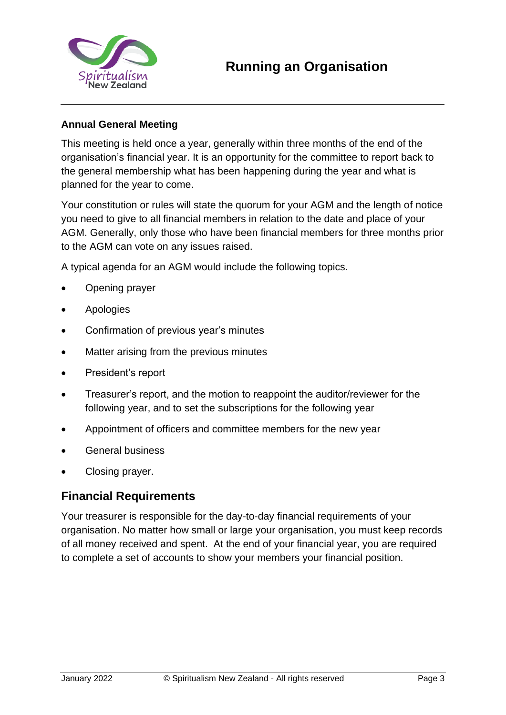

### **Annual General Meeting**

This meeting is held once a year, generally within three months of the end of the organisation's financial year. It is an opportunity for the committee to report back to the general membership what has been happening during the year and what is planned for the year to come.

Your constitution or rules will state the quorum for your AGM and the length of notice you need to give to all financial members in relation to the date and place of your AGM. Generally, only those who have been financial members for three months prior to the AGM can vote on any issues raised.

A typical agenda for an AGM would include the following topics.

- Opening prayer
- **Apologies**
- Confirmation of previous year's minutes
- Matter arising from the previous minutes
- President's report
- Treasurer's report, and the motion to reappoint the auditor/reviewer for the following year, and to set the subscriptions for the following year
- Appointment of officers and committee members for the new year
- General business
- Closing prayer.

## **Financial Requirements**

Your treasurer is responsible for the day-to-day financial requirements of your organisation. No matter how small or large your organisation, you must keep records of all money received and spent. At the end of your financial year, you are required to complete a set of accounts to show your members your financial position.